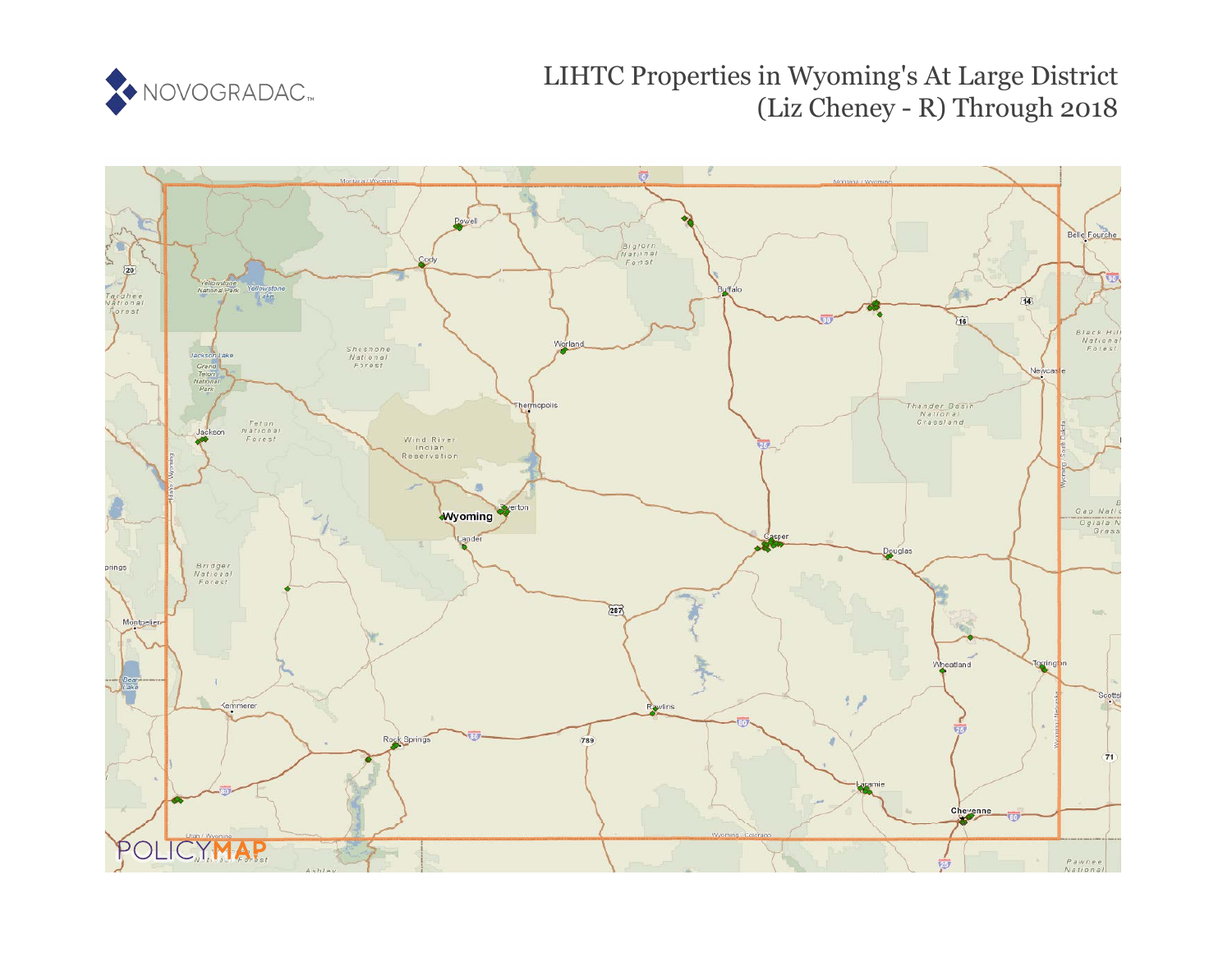

# LIHTC Properties in Wyoming's At Large District (Liz Cheney - R) Through 2018

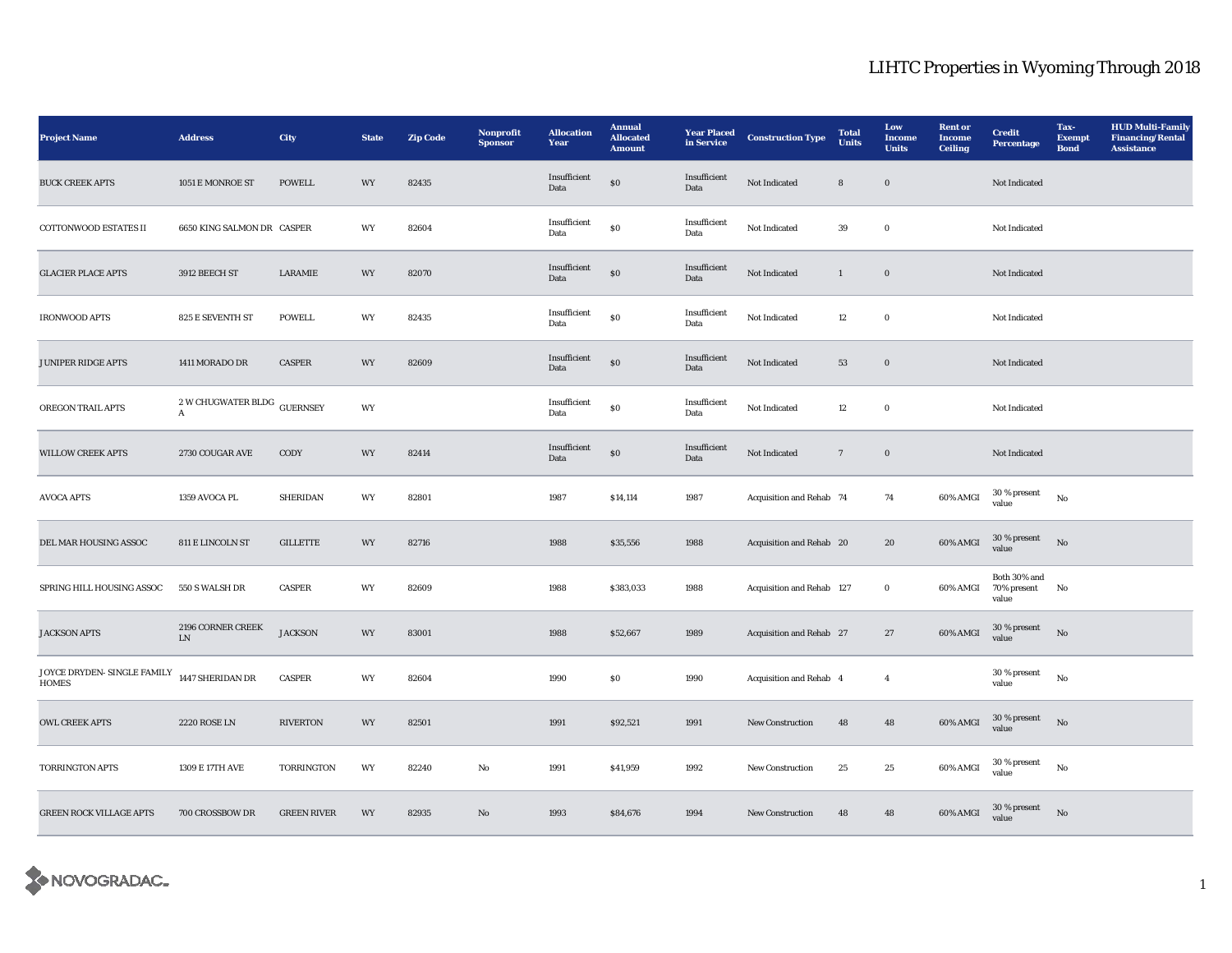| <b>Project Name</b>                         | <b>Address</b>                    | City               | <b>State</b>             | <b>Zip Code</b> | <b>Nonprofit</b><br><b>Sponsor</b> | <b>Allocation</b><br>Year       | <b>Annual</b><br><b>Allocated</b><br><b>Amount</b> | <b>Year Placed</b><br>in Service | <b>Construction Type</b>  | <b>Total</b><br>Units | Low<br>Income<br><b>Units</b> | <b>Rent or</b><br><b>Income</b><br><b>Ceiling</b> | <b>Credit</b><br><b>Percentage</b>      | Tax-<br><b>Exempt</b><br><b>Bond</b> | <b>HUD Multi-Family</b><br><b>Financing/Rental</b><br><b>Assistance</b> |
|---------------------------------------------|-----------------------------------|--------------------|--------------------------|-----------------|------------------------------------|---------------------------------|----------------------------------------------------|----------------------------------|---------------------------|-----------------------|-------------------------------|---------------------------------------------------|-----------------------------------------|--------------------------------------|-------------------------------------------------------------------------|
| <b>BUCK CREEK APTS</b>                      | 1051 E MONROE ST                  | <b>POWELL</b>      | $\ensuremath{\text{WY}}$ | 82435           |                                    | Insufficient<br>Data            | $\$0$                                              | Insufficient<br>Data             | Not Indicated             | ${\bf 8}$             | $\mathbf 0$                   |                                                   | Not Indicated                           |                                      |                                                                         |
| COTTONWOOD ESTATES II                       | 6650 KING SALMON DR CASPER        |                    | WY                       | 82604           |                                    | Insufficient<br>Data            | $\$0$                                              | Insufficient<br>Data             | Not Indicated             | 39                    | $\mathbf 0$                   |                                                   | Not Indicated                           |                                      |                                                                         |
| <b>GLACIER PLACE APTS</b>                   | 3912 BEECH ST                     | LARAMIE            | WY                       | 82070           |                                    | Insufficient<br>Data            | $\$0$                                              | Insufficient<br>Data             | Not Indicated             | $\mathbf{1}$          | $\boldsymbol{0}$              |                                                   | Not Indicated                           |                                      |                                                                         |
| <b>IRONWOOD APTS</b>                        | 825 E SEVENTH ST                  | <b>POWELL</b>      | WY                       | 82435           |                                    | Insufficient<br>Data            | $\mathbf{S}$                                       | Insufficient<br>Data             | Not Indicated             | 12                    | $\bf{0}$                      |                                                   | Not Indicated                           |                                      |                                                                         |
| JUNIPER RIDGE APTS                          | 1411 MORADO DR                    | <b>CASPER</b>      | WY                       | 82609           |                                    | Insufficient<br>Data            | $\$0$                                              | Insufficient<br>Data             | Not Indicated             | 53                    | $\mathbf 0$                   |                                                   | Not Indicated                           |                                      |                                                                         |
| OREGON TRAIL APTS                           | 2 W CHUGWATER BLDG<br>$\mathbf A$ | <b>GUERNSEY</b>    | WY                       |                 |                                    | Insufficient<br>Data            | ${\bf S0}$                                         | Insufficient<br>Data             | Not Indicated             | 12                    | $\mathbf 0$                   |                                                   | Not Indicated                           |                                      |                                                                         |
| <b>WILLOW CREEK APTS</b>                    | 2730 COUGAR AVE                   | CODY               | WY                       | 82414           |                                    | Insufficient<br>$\mathbf{Data}$ | $\$0$                                              | Insufficient<br>Data             | Not Indicated             | $\scriptstyle\rm 7$   | $\mathbf 0$                   |                                                   | Not Indicated                           |                                      |                                                                         |
| <b>AVOCA APTS</b>                           | 1359 AVOCA PL                     | <b>SHERIDAN</b>    | WY                       | 82801           |                                    | 1987                            | \$14,114                                           | 1987                             | Acquisition and Rehab 74  |                       | 74                            | 60% AMGI                                          | 30 % present<br>value                   | $_{\rm No}$                          |                                                                         |
| DEL MAR HOUSING ASSOC                       | 811 E LINCOLN ST                  | <b>GILLETTE</b>    | WY                       | 82716           |                                    | 1988                            | \$35,556                                           | 1988                             | Acquisition and Rehab 20  |                       | 20                            | 60% AMGI                                          | 30 % present<br>value                   | No                                   |                                                                         |
| SPRING HILL HOUSING ASSOC                   | 550 S WALSH DR                    | CASPER             | WY                       | 82609           |                                    | 1988                            | \$383,033                                          | 1988                             | Acquisition and Rehab 127 |                       | $\mathbf 0$                   | 60% AMGI                                          | Both 30% and<br>70% present No<br>value |                                      |                                                                         |
| <b>JACKSON APTS</b>                         | 2196 CORNER CREEK<br>${\rm LN}$   | <b>JACKSON</b>     | WY                       | 83001           |                                    | 1988                            | \$52,667                                           | 1989                             | Acquisition and Rehab 27  |                       | $\bf 27$                      | $60\%$ AMGI                                       | $30\,\%$ present<br>value               | $_{\rm No}$                          |                                                                         |
| JOYCE DRYDEN- SINGLE FAMILY<br><b>HOMES</b> | 1447 SHERIDAN DR                  | CASPER             | WY                       | 82604           |                                    | 1990                            | $\boldsymbol{\mathsf{S}}\boldsymbol{\mathsf{O}}$   | 1990                             | Acquisition and Rehab 4   |                       | $\boldsymbol{4}$              |                                                   | 30 % present<br>value                   | $_{\rm No}$                          |                                                                         |
| <b>OWL CREEK APTS</b>                       | <b>2220 ROSE LN</b>               | <b>RIVERTON</b>    | WY                       | 82501           |                                    | 1991                            | \$92,521                                           | 1991                             | New Construction          | 48                    | 48                            | 60% AMGI                                          | $30$ % present value                    | No                                   |                                                                         |
| TORRINGTON APTS                             | 1309 E 17TH AVE                   | TORRINGTON         | WY                       | 82240           | No                                 | 1991                            | \$41,959                                           | 1992                             | <b>New Construction</b>   | 25                    | 25                            | 60% AMGI                                          | 30 % present<br>value                   | $_{\rm No}$                          |                                                                         |
| <b>GREEN ROCK VILLAGE APTS</b>              | 700 CROSSBOW DR                   | <b>GREEN RIVER</b> | WY                       | 82935           | $\rm No$                           | 1993                            | \$84,676                                           | 1994                             | New Construction          | 48                    | 48                            | $60\%$ AMGI                                       | $30\,\%$ present<br>value               | $_{\rm No}$                          |                                                                         |

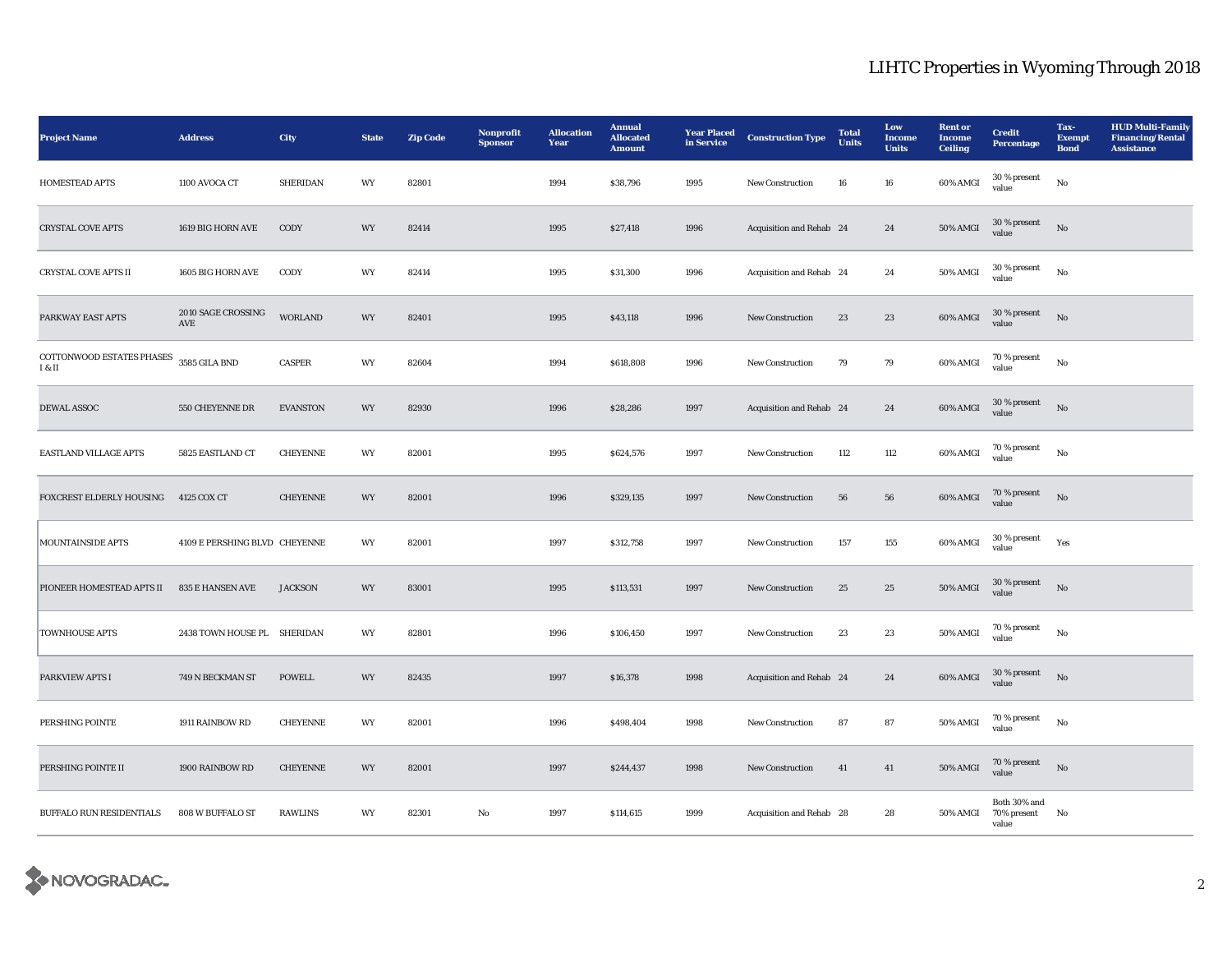| <b>Project Name</b>                               | <b>Address</b>                | <b>City</b>     | <b>State</b> | <b>Zip Code</b> | Nonprofit<br><b>Sponsor</b> | <b>Allocation</b><br>Year | <b>Annual</b><br><b>Allocated</b><br><b>Amount</b> | <b>Year Placed</b><br>in Service | <b>Construction Type</b> | <b>Total</b><br><b>Units</b> | Low<br>Income<br><b>Units</b> | <b>Rent</b> or<br><b>Income</b><br><b>Ceiling</b> | <b>Credit</b><br><b>Percentage</b>   | Tax-<br><b>Exempt</b><br><b>Bond</b> | <b>HUD Multi-Family</b><br><b>Financing/Rental</b><br><b>Assistance</b> |
|---------------------------------------------------|-------------------------------|-----------------|--------------|-----------------|-----------------------------|---------------------------|----------------------------------------------------|----------------------------------|--------------------------|------------------------------|-------------------------------|---------------------------------------------------|--------------------------------------|--------------------------------------|-------------------------------------------------------------------------|
| HOMESTEAD APTS                                    | 1100 AVOCA CT                 | <b>SHERIDAN</b> | WY           | 82801           |                             | 1994                      | \$38,796                                           | 1995                             | New Construction         | ${\bf 16}$                   | 16                            | 60% AMGI                                          | $30\,\%$ present<br>value            | $_{\rm No}$                          |                                                                         |
| <b>CRYSTAL COVE APTS</b>                          | 1619 BIG HORN AVE             | CODY            | WY           | 82414           |                             | 1995                      | \$27,418                                           | 1996                             | Acquisition and Rehab 24 |                              | $\bf 24$                      | <b>50% AMGI</b>                                   | 30 % present<br>value                | $_{\rm No}$                          |                                                                         |
| <b>CRYSTAL COVE APTS II</b>                       | 1605 BIG HORN AVE             | CODY            | WY           | 82414           |                             | 1995                      | \$31,300                                           | 1996                             | Acquisition and Rehab 24 |                              | 24                            | $50\%$ AMGI                                       | $30\,\%$ present<br>value            | $_{\rm No}$                          |                                                                         |
| PARKWAY EAST APTS                                 | 2010 SAGE CROSSING<br>AVE     | <b>WORLAND</b>  | WY           | 82401           |                             | 1995                      | \$43,118                                           | 1996                             | New Construction         | 23                           | 23                            | $60\%$ AMGI                                       | $30$ % present value                 | $_{\rm No}$                          |                                                                         |
| COTTONWOOD ESTATES PHASES 3585 GILA BND<br>I & II |                               | CASPER          | WY           | 82604           |                             | 1994                      | \$618,808                                          | 1996                             | New Construction         | 79                           | 79                            | 60% AMGI                                          | 70 % present<br>value                | $_{\rm No}$                          |                                                                         |
| DEWAL ASSOC                                       | 550 CHEYENNE DR               | <b>EVANSTON</b> | WY           | 82930           |                             | 1996                      | \$28,286                                           | 1997                             | Acquisition and Rehab 24 |                              | $\bf 24$                      | 60% AMGI                                          | $30$ % present $\,$<br>value         | $\mathbf{N}\mathbf{o}$               |                                                                         |
| <b>EASTLAND VILLAGE APTS</b>                      | 5825 EASTLAND CT              | <b>CHEYENNE</b> | WY           | 82001           |                             | 1995                      | \$624,576                                          | 1997                             | New Construction         | 112                          | 112                           | 60% AMGI                                          | 70 % present<br>value                | $_{\rm No}$                          |                                                                         |
| FOXCREST ELDERLY HOUSING                          | 4125 COX CT                   | <b>CHEYENNE</b> | WY           | 82001           |                             | 1996                      | \$329,135                                          | 1997                             | New Construction         | 56                           | ${\bf 56}$                    | $60\%$ AMGI                                       | 70 % present<br>value                | $_{\rm No}$                          |                                                                         |
| MOUNTAINSIDE APTS                                 | 4109 E PERSHING BLVD CHEYENNE |                 | WY           | 82001           |                             | 1997                      | \$312,758                                          | 1997                             | New Construction         | 157                          | 155                           | 60% AMGI                                          | $30$ % present<br>value              | Yes                                  |                                                                         |
| PIONEER HOMESTEAD APTS II                         | 835 E HANSEN AVE              | <b>JACKSON</b>  | WY           | 83001           |                             | 1995                      | \$113,531                                          | 1997                             | New Construction         | 25                           | $25\,$                        | $50\%$ AMGI                                       | $30$ % present value                 | $_{\rm No}$                          |                                                                         |
| <b>TOWNHOUSE APTS</b>                             | 2438 TOWN HOUSE PL SHERIDAN   |                 | WY           | 82801           |                             | 1996                      | \$106,450                                          | 1997                             | New Construction         | 23                           | $\bf 23$                      | $50\%$ AMGI                                       | 70 % present<br>value                | $_{\rm No}$                          |                                                                         |
| PARKVIEW APTS I                                   | 749 N BECKMAN ST              | <b>POWELL</b>   | WY           | 82435           |                             | 1997                      | \$16,378                                           | 1998                             | Acquisition and Rehab 24 |                              | $\bf 24$                      | 60% AMGI                                          | $30$ % present $\,$<br>value         | $\mathbf{N}\mathbf{o}$               |                                                                         |
| PERSHING POINTE                                   | 1911 RAINBOW RD               | <b>CHEYENNE</b> | WY           | 82001           |                             | 1996                      | \$498,404                                          | 1998                             | New Construction         | 87                           | 87                            | $50\%$ AMGI                                       | 70 % present<br>value                | $_{\rm No}$                          |                                                                         |
| PERSHING POINTE II                                | 1900 RAINBOW RD               | <b>CHEYENNE</b> | WY           | 82001           |                             | 1997                      | \$244,437                                          | 1998                             | New Construction         | 41                           | 41                            | <b>50% AMGI</b>                                   | 70 % present<br>value                | $_{\rm No}$                          |                                                                         |
| BUFFALO RUN RESIDENTIALS                          | 808 W BUFFALO ST              | <b>RAWLINS</b>  | WY           | 82301           | $\rm No$                    | 1997                      | \$114,615                                          | 1999                             | Acquisition and Rehab 28 |                              | 28                            | 50% AMGI                                          | Both 30% and<br>70% present<br>value | No                                   |                                                                         |

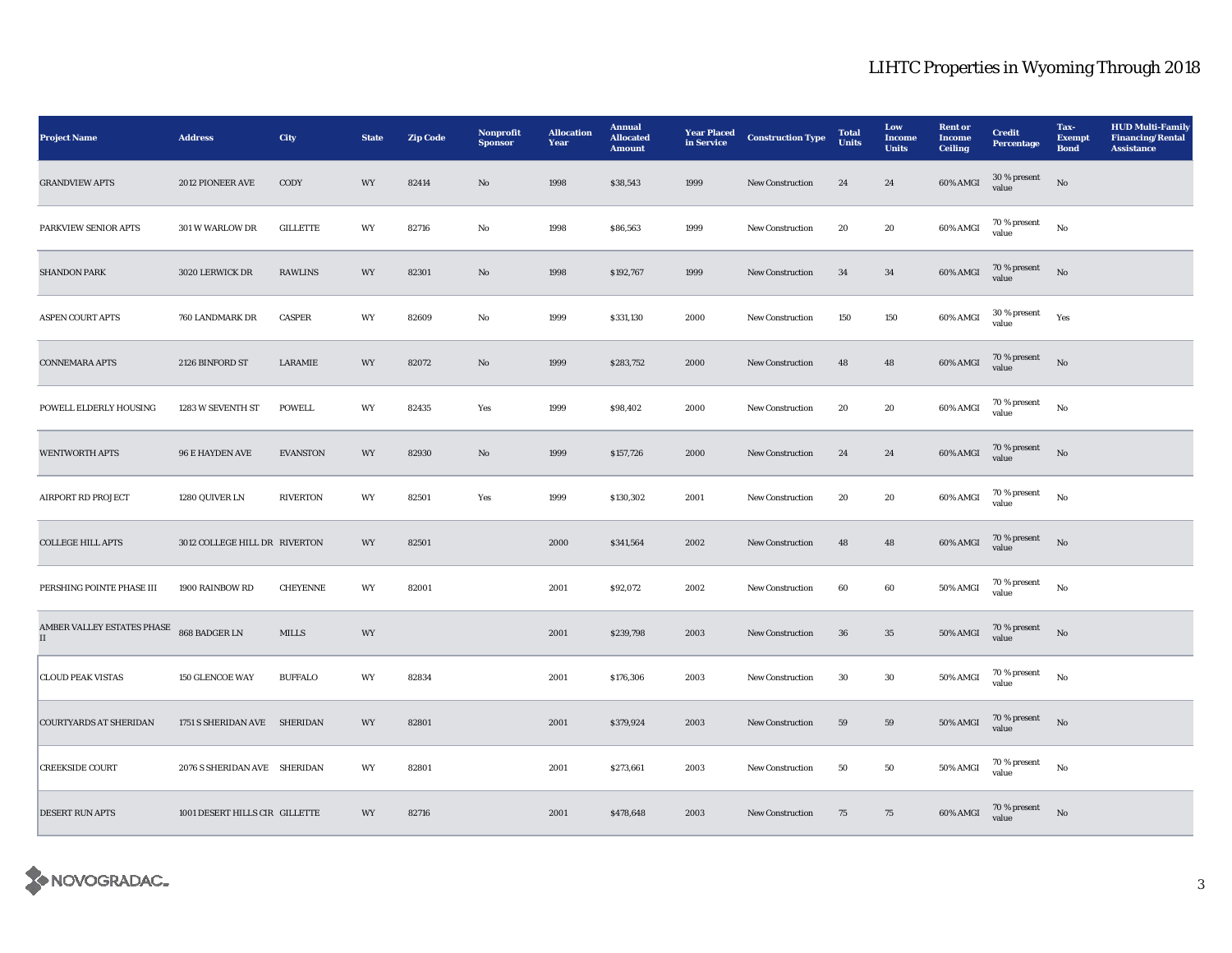| <b>Project Name</b>                                       | <b>Address</b>                 | City            | <b>State</b> | <b>Zip Code</b> | Nonprofit<br><b>Sponsor</b> | <b>Allocation</b><br>Year | <b>Annual</b><br><b>Allocated</b><br><b>Amount</b> | <b>Year Placed</b><br>in Service | <b>Construction Type</b> | <b>Total</b><br><b>Units</b> | Low<br><b>Income</b><br><b>Units</b> | <b>Rent</b> or<br>Income<br><b>Ceiling</b> | <b>Credit</b><br><b>Percentage</b> | Tax-<br><b>Exempt</b><br><b>Bond</b> | <b>HUD Multi-Family</b><br><b>Financing/Rental</b><br><b>Assistance</b> |
|-----------------------------------------------------------|--------------------------------|-----------------|--------------|-----------------|-----------------------------|---------------------------|----------------------------------------------------|----------------------------------|--------------------------|------------------------------|--------------------------------------|--------------------------------------------|------------------------------------|--------------------------------------|-------------------------------------------------------------------------|
| <b>GRANDVIEW APTS</b>                                     | 2012 PIONEER AVE               | CODY            | WY           | 82414           | $\rm No$                    | 1998                      | \$38,543                                           | 1999                             | New Construction         | 24                           | 24                                   | $60\%$ AMGI                                | 30 % present<br>value              | $_{\rm No}$                          |                                                                         |
| PARKVIEW SENIOR APTS                                      | 301 W WARLOW DR                | <b>GILLETTE</b> | WY           | 82716           | $\rm No$                    | 1998                      | \$86,563                                           | 1999                             | <b>New Construction</b>  | 20                           | ${\bf 20}$                           | 60% AMGI                                   | 70 % present<br>value              | $_{\rm No}$                          |                                                                         |
| <b>SHANDON PARK</b>                                       | 3020 LERWICK DR                | <b>RAWLINS</b>  | WY           | 82301           | No                          | 1998                      | \$192,767                                          | 1999                             | <b>New Construction</b>  | 34                           | 34                                   | 60% AMGI                                   | $70$ % present<br>value            | No                                   |                                                                         |
| <b>ASPEN COURT APTS</b>                                   | 760 LANDMARK DR                | CASPER          | WY           | 82609           | No                          | 1999                      | \$331,130                                          | 2000                             | <b>New Construction</b>  | 150                          | 150                                  | 60% AMGI                                   | 30 % present<br>value              | Yes                                  |                                                                         |
| <b>CONNEMARA APTS</b>                                     | 2126 BINFORD ST                | <b>LARAMIE</b>  | WY           | 82072           | No                          | 1999                      | \$283,752                                          | 2000                             | <b>New Construction</b>  | 48                           | 48                                   | 60% AMGI                                   | 70 % present<br>value              | No                                   |                                                                         |
| POWELL ELDERLY HOUSING                                    | 1283 W SEVENTH ST              | <b>POWELL</b>   | WY           | 82435           | Yes                         | 1999                      | \$98,402                                           | 2000                             | <b>New Construction</b>  | 20                           | 20                                   | 60% AMGI                                   | 70 % present<br>value              | No                                   |                                                                         |
| <b>WENTWORTH APTS</b>                                     | <b>96 E HAYDEN AVE</b>         | <b>EVANSTON</b> | WY           | 82930           | No                          | 1999                      | \$157,726                                          | 2000                             | New Construction         | 24                           | 24                                   | $60\%$ AMGI                                | $70\,\%$ present<br>value          | No                                   |                                                                         |
| <b>AIRPORT RD PROJECT</b>                                 | 1280 QUIVER LN                 | <b>RIVERTON</b> | WY           | 82501           | Yes                         | 1999                      | \$130,302                                          | 2001                             | New Construction         | 20                           | 20                                   | 60% AMGI                                   | 70 % present<br>value              | $\rm No$                             |                                                                         |
| <b>COLLEGE HILL APTS</b>                                  | 3012 COLLEGE HILL DR RIVERTON  |                 | WY           | 82501           |                             | 2000                      | \$341,564                                          | 2002                             | New Construction         | 48                           | 48                                   | 60% AMGI                                   | $70\,\%$ present<br>value          | No                                   |                                                                         |
| PERSHING POINTE PHASE III                                 | 1900 RAINBOW RD                | <b>CHEYENNE</b> | WY           | 82001           |                             | 2001                      | \$92,072                                           | 2002                             | <b>New Construction</b>  | 60                           | 60                                   | 50% AMGI                                   | 70 % present<br>value              | No                                   |                                                                         |
| AMBER VALLEY ESTATES PHASE 868 BADGER LN<br>$\mathbf{II}$ |                                | <b>MILLS</b>    | WY           |                 |                             | 2001                      | \$239,798                                          | 2003                             | <b>New Construction</b>  | 36                           | $35\,$                               | <b>50% AMGI</b>                            | 70 % present<br>value              | $_{\rm No}$                          |                                                                         |
| <b>CLOUD PEAK VISTAS</b>                                  | 150 GLENCOE WAY                | <b>BUFFALO</b>  | WY           | 82834           |                             | 2001                      | \$176,306                                          | 2003                             | New Construction         | $30\,$                       | 30                                   | 50% AMGI                                   | $70$ % present<br>value            | $_{\rm No}$                          |                                                                         |
| <b>COURTYARDS AT SHERIDAN</b>                             | 1751 S SHERIDAN AVE SHERIDAN   |                 | WY           | 82801           |                             | 2001                      | \$379,924                                          | 2003                             | New Construction         | 59                           | 59                                   | $50\%$ AMGI                                | $70$ % present<br>value            | No                                   |                                                                         |
| <b>CREEKSIDE COURT</b>                                    | 2076 S SHERIDAN AVE SHERIDAN   |                 | WY           | 82801           |                             | 2001                      | \$273,661                                          | 2003                             | New Construction         | 50                           | ${\bf 50}$                           | $50\%$ AMGI                                | 70 % present<br>value              | $_{\rm No}$                          |                                                                         |
| <b>DESERT RUN APTS</b>                                    | 1001 DESERT HILLS CIR GILLETTE |                 | WY           | 82716           |                             | 2001                      | \$478,648                                          | 2003                             | <b>New Construction</b>  | 75                           | 75                                   | 60% AMGI                                   | $70$ % present value               | No                                   |                                                                         |

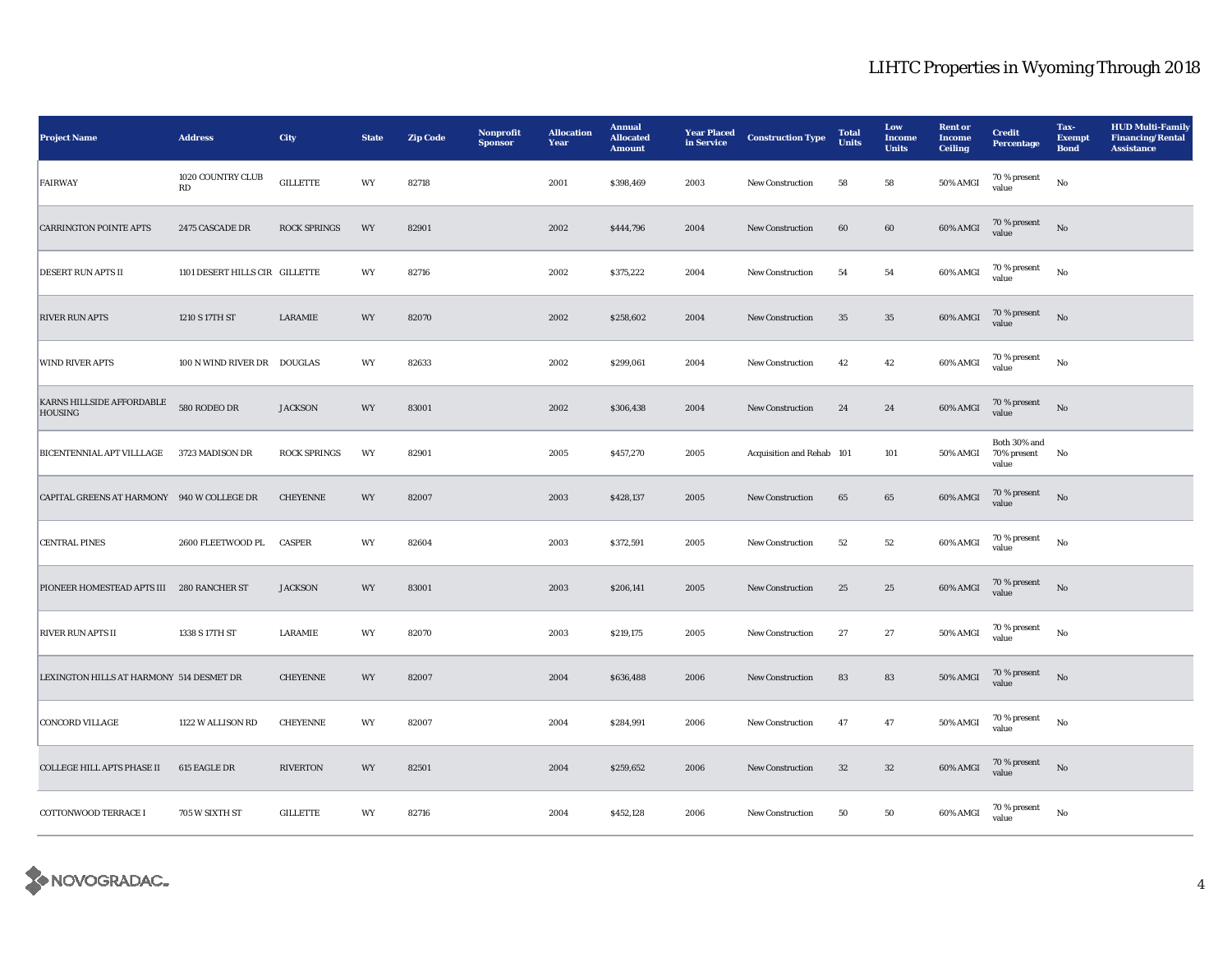| <b>Project Name</b>                         | <b>Address</b>                 | City                | <b>State</b> | <b>Zip Code</b> | Nonprofit<br><b>Sponsor</b> | <b>Allocation</b><br>Year | <b>Annual</b><br><b>Allocated</b><br><b>Amount</b> | <b>Year Placed</b><br>in Service | <b>Construction Type</b>  | <b>Total</b><br><b>Units</b> | Low<br><b>Income</b><br><b>Units</b> | <b>Rent or</b><br><b>Income</b><br><b>Ceiling</b> | <b>Credit</b><br><b>Percentage</b>      | Tax-<br><b>Exempt</b><br><b>Bond</b> | <b>HUD Multi-Family</b><br><b>Financing/Rental</b><br><b>Assistance</b> |
|---------------------------------------------|--------------------------------|---------------------|--------------|-----------------|-----------------------------|---------------------------|----------------------------------------------------|----------------------------------|---------------------------|------------------------------|--------------------------------------|---------------------------------------------------|-----------------------------------------|--------------------------------------|-------------------------------------------------------------------------|
| FAIRWAY                                     | 1020 COUNTRY CLUB<br>RD        | <b>GILLETTE</b>     | WY           | 82718           |                             | 2001                      | \$398,469                                          | 2003                             | <b>New Construction</b>   | 58                           | 58                                   | 50% AMGI                                          | $70\,\%$ present<br>value               | $_{\rm No}$                          |                                                                         |
| <b>CARRINGTON POINTE APTS</b>               | 2475 CASCADE DR                | <b>ROCK SPRINGS</b> | WY           | 82901           |                             | 2002                      | \$444,796                                          | 2004                             | New Construction          | 60                           | 60                                   | 60% AMGI                                          | 70 % present<br>value                   | $_{\rm No}$                          |                                                                         |
| <b>DESERT RUN APTS II</b>                   | 1101 DESERT HILLS CIR GILLETTE |                     | WY           | 82716           |                             | 2002                      | \$375,222                                          | 2004                             | <b>New Construction</b>   | 54                           | 54                                   | 60% AMGI                                          | $70$ % present<br>value                 | $_{\rm No}$                          |                                                                         |
| <b>RIVER RUN APTS</b>                       | 1210 S 17TH ST                 | LARAMIE             | WY           | 82070           |                             | 2002                      | \$258,602                                          | 2004                             | New Construction          | 35                           | $35\,$                               | $60\%$ AMGI                                       | 70 % present<br>value                   | No                                   |                                                                         |
| WIND RIVER APTS                             | 100 N WIND RIVER DR DOUGLAS    |                     | WY           | 82633           |                             | 2002                      | \$299,061                                          | 2004                             | New Construction          | 42                           | 42                                   | 60% AMGI                                          | 70 % present<br>value                   | $_{\rm No}$                          |                                                                         |
| KARNS HILLSIDE AFFORDABLE<br><b>HOUSING</b> | 580 RODEO DR                   | <b>JACKSON</b>      | WY           | 83001           |                             | 2002                      | \$306,438                                          | 2004                             | <b>New Construction</b>   | 24                           | 24                                   | 60% AMGI                                          | 70 % present<br>value                   | No                                   |                                                                         |
| BICENTENNIAL APT VILLLAGE 3723 MADISON DR   |                                | <b>ROCK SPRINGS</b> | WY           | 82901           |                             | 2005                      | \$457,270                                          | 2005                             | Acquisition and Rehab 101 |                              | 101                                  | 50% AMGI                                          | Both 30% and<br>70% present No<br>value |                                      |                                                                         |
| CAPITAL GREENS AT HARMONY 940 W COLLEGE DR  |                                | <b>CHEYENNE</b>     | WY           | 82007           |                             | 2003                      | \$428,137                                          | 2005                             | New Construction          | 65                           | 65                                   | $60\%$ AMGI                                       | 70 % present<br>value                   | $\rm No$                             |                                                                         |
| <b>CENTRAL PINES</b>                        | 2600 FLEETWOOD PL              | <b>CASPER</b>       | WY           | 82604           |                             | 2003                      | \$372,591                                          | 2005                             | <b>New Construction</b>   | 52                           | 52                                   | 60% AMGI                                          | 70 % present<br>value                   | No                                   |                                                                         |
| PIONEER HOMESTEAD APTS III 280 RANCHER ST   |                                | <b>JACKSON</b>      | WY           | 83001           |                             | 2003                      | \$206,141                                          | 2005                             | <b>New Construction</b>   | 25                           | $\bf 25$                             | 60% AMGI                                          | 70 % present<br>value                   | $_{\rm No}$                          |                                                                         |
| <b>RIVER RUN APTS II</b>                    | 1338 S 17TH ST                 | LARAMIE             | WY           | 82070           |                             | 2003                      | \$219,175                                          | 2005                             | <b>New Construction</b>   | 27                           | 27                                   | <b>50% AMGI</b>                                   | $70$ % present<br>value                 | No                                   |                                                                         |
| LEXINGTON HILLS AT HARMONY 514 DESMET DR    |                                | <b>CHEYENNE</b>     | WY           | 82007           |                             | 2004                      | \$636,488                                          | 2006                             | <b>New Construction</b>   | 83                           | 83                                   | 50% AMGI                                          | $70$ % present<br>value                 | No                                   |                                                                         |
| <b>CONCORD VILLAGE</b>                      | 1122 W ALLISON RD              | <b>CHEYENNE</b>     | WY           | 82007           |                             | 2004                      | \$284,991                                          | 2006                             | New Construction          | 47                           | 47                                   | 50% AMGI                                          | 70 % present<br>value                   | No                                   |                                                                         |
| <b>COLLEGE HILL APTS PHASE II</b>           | 615 EAGLE DR                   | <b>RIVERTON</b>     | WY           | 82501           |                             | 2004                      | \$259,652                                          | 2006                             | <b>New Construction</b>   | 32                           | $32\,$                               | 60% AMGI                                          | 70 % present<br>value                   | No                                   |                                                                         |
| COTTONWOOD TERRACE I                        | 705 W SIXTH ST                 | <b>GILLETTE</b>     | WY           | 82716           |                             | 2004                      | \$452,128                                          | 2006                             | <b>New Construction</b>   | 50                           | 50                                   | 60% AMGI                                          | $70$ % present<br>value                 | No                                   |                                                                         |

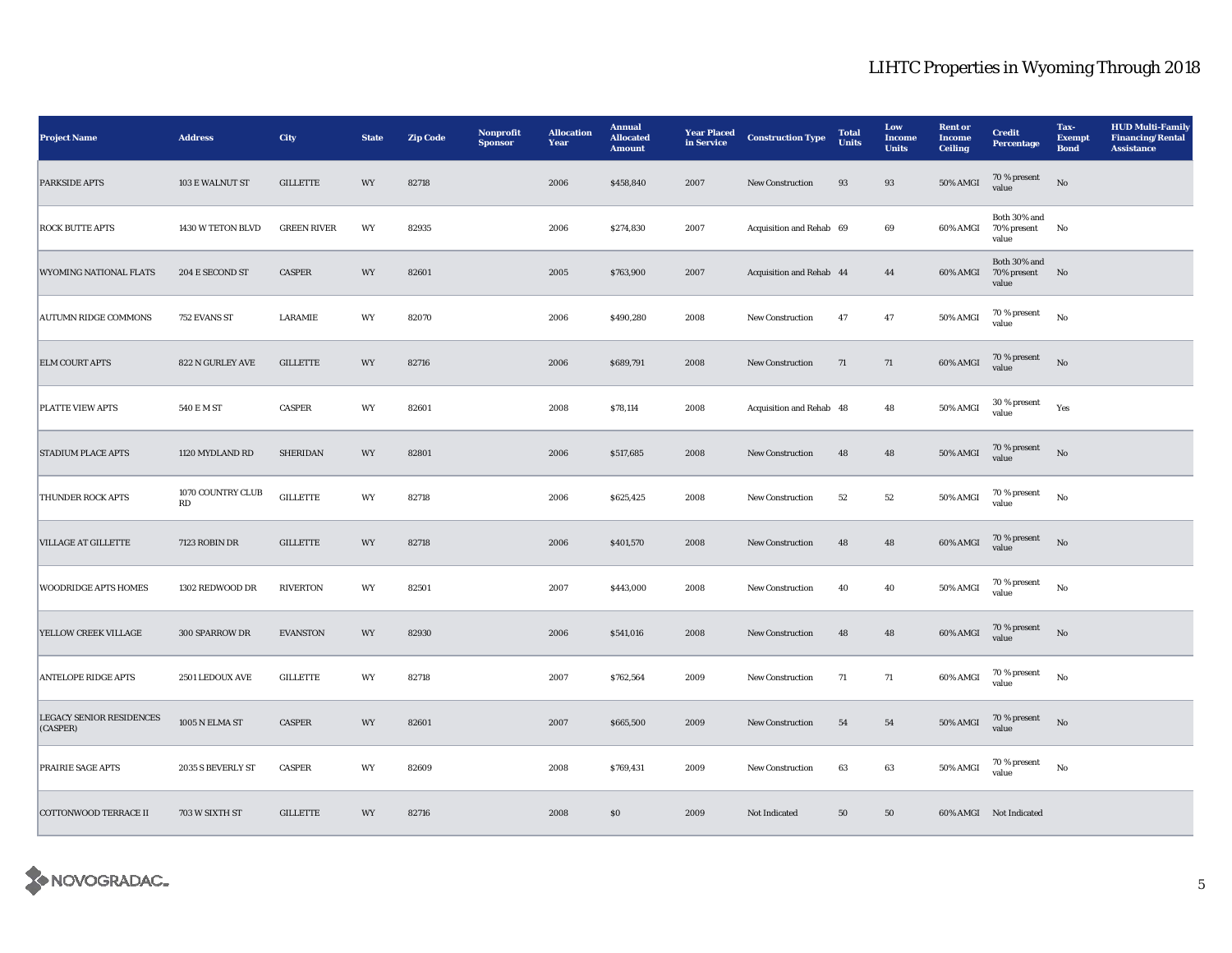| <b>Project Name</b>                         | <b>Address</b>                              | City               | <b>State</b> | <b>Zip Code</b> | Nonprofit<br><b>Sponsor</b> | <b>Allocation</b><br>Year | <b>Annual</b><br><b>Allocated</b><br><b>Amount</b> | <b>Year Placed</b><br>in Service | <b>Construction Type</b> | <b>Total</b><br><b>Units</b> | Low<br><b>Income</b><br><b>Units</b> | <b>Rent or</b><br><b>Income</b><br><b>Ceiling</b> | <b>Credit</b><br><b>Percentage</b>      | Tax-<br><b>Exempt</b><br><b>Bond</b> | <b>HUD Multi-Family</b><br><b>Financing/Rental</b><br><b>Assistance</b> |
|---------------------------------------------|---------------------------------------------|--------------------|--------------|-----------------|-----------------------------|---------------------------|----------------------------------------------------|----------------------------------|--------------------------|------------------------------|--------------------------------------|---------------------------------------------------|-----------------------------------------|--------------------------------------|-------------------------------------------------------------------------|
| <b>PARKSIDE APTS</b>                        | 103 E WALNUT ST                             | <b>GILLETTE</b>    | WY           | 82718           |                             | 2006                      | \$458,840                                          | 2007                             | <b>New Construction</b>  | 93                           | 93                                   | <b>50% AMGI</b>                                   | $70\,\%$ present<br>value               | No                                   |                                                                         |
| <b>ROCK BUTTE APTS</b>                      | 1430 W TETON BLVD                           | <b>GREEN RIVER</b> | WY           | 82935           |                             | 2006                      | \$274,830                                          | 2007                             | Acquisition and Rehab 69 |                              | 69                                   | 60% AMGI                                          | Both 30% and<br>70% present<br>value    | $\mathbf{N}\mathbf{o}$               |                                                                         |
| <b>WYOMING NATIONAL FLATS</b>               | 204 E SECOND ST                             | <b>CASPER</b>      | WY           | 82601           |                             | 2005                      | \$763,900                                          | 2007                             | Acquisition and Rehab 44 |                              | 44                                   | 60% AMGI                                          | Both 30% and<br>70% present No<br>value |                                      |                                                                         |
| <b>AUTUMN RIDGE COMMONS</b>                 | 752 EVANS ST                                | LARAMIE            | WY           | 82070           |                             | 2006                      | \$490,280                                          | 2008                             | New Construction         | 47                           | 47                                   | 50% AMGI                                          | $70$ % present<br>value                 | $_{\rm No}$                          |                                                                         |
| <b>ELM COURT APTS</b>                       | 822 N GURLEY AVE                            | <b>GILLETTE</b>    | WY           | 82716           |                             | 2006                      | \$689,791                                          | 2008                             | New Construction         | 71                           | $71\,$                               | 60% AMGI                                          | 70 % present<br>value                   | $_{\rm No}$                          |                                                                         |
| <b>PLATTE VIEW APTS</b>                     | 540 E M ST                                  | <b>CASPER</b>      | WY           | 82601           |                             | 2008                      | \$78,114                                           | 2008                             | Acquisition and Rehab 48 |                              | 48                                   | 50% AMGI                                          | 30 % present<br>value                   | Yes                                  |                                                                         |
| <b>STADIUM PLACE APTS</b>                   | 1120 MYDLAND RD                             | <b>SHERIDAN</b>    | WY           | 82801           |                             | 2006                      | \$517,685                                          | 2008                             | New Construction         | 48                           | 48                                   | 50% AMGI                                          | $70$ % present value                    | No                                   |                                                                         |
| THUNDER ROCK APTS                           | 1070 COUNTRY CLUB<br>$\mathbf{R}\mathbf{D}$ | $\sf GILLETTE$     | WY           | 82718           |                             | 2006                      | \$625,425                                          | 2008                             | New Construction         | 52                           | $52\,$                               | 50% AMGI                                          | 70 % present<br>value                   | $_{\rm No}$                          |                                                                         |
| <b>VILLAGE AT GILLETTE</b>                  | 7123 ROBIN DR                               | <b>GILLETTE</b>    | WY           | 82718           |                             | 2006                      | \$401,570                                          | 2008                             | <b>New Construction</b>  | 48                           | 48                                   | 60% AMGI                                          | 70 % present<br>value                   | No                                   |                                                                         |
| <b>WOODRIDGE APTS HOMES</b>                 | 1302 REDWOOD DR                             | <b>RIVERTON</b>    | WY           | 82501           |                             | 2007                      | \$443,000                                          | 2008                             | New Construction         | 40                           | 40                                   | 50% AMGI                                          | 70 % present<br>value                   | $_{\rm No}$                          |                                                                         |
| YELLOW CREEK VILLAGE                        | 300 SPARROW DR                              | <b>EVANSTON</b>    | WY           | 82930           |                             | 2006                      | \$541,016                                          | 2008                             | <b>New Construction</b>  | 48                           | 48                                   | 60% AMGI                                          | 70 % present<br>value                   | $_{\rm No}$                          |                                                                         |
| <b>ANTELOPE RIDGE APTS</b>                  | 2501 LEDOUX AVE                             | <b>GILLETTE</b>    | WY           | 82718           |                             | 2007                      | \$762,564                                          | 2009                             | New Construction         | 71                           | 71                                   | 60% AMGI                                          | $70\,\%$ present<br>value               | $_{\rm No}$                          |                                                                         |
| <b>LEGACY SENIOR RESIDENCES</b><br>(CASPER) | 1005 N ELMA ST                              | CASPER             | WY           | 82601           |                             | 2007                      | \$665,500                                          | 2009                             | New Construction         | ${\bf 54}$                   | ${\bf 54}$                           | $50\%$ AMGI                                       | 70 % present<br>value                   | No                                   |                                                                         |
| <b>PRAIRIE SAGE APTS</b>                    | 2035 S BEVERLY ST                           | <b>CASPER</b>      | WY           | 82609           |                             | 2008                      | \$769,431                                          | 2009                             | <b>New Construction</b>  | 63                           | 63                                   | <b>50% AMGI</b>                                   | 70 % present<br>value                   | No                                   |                                                                         |
| <b>COTTONWOOD TERRACE II</b>                | 703 W SIXTH ST                              | <b>GILLETTE</b>    | WY           | 82716           |                             | 2008                      | \$0                                                | 2009                             | Not Indicated            | 50                           | 50                                   |                                                   | 60% AMGI Not Indicated                  |                                      |                                                                         |

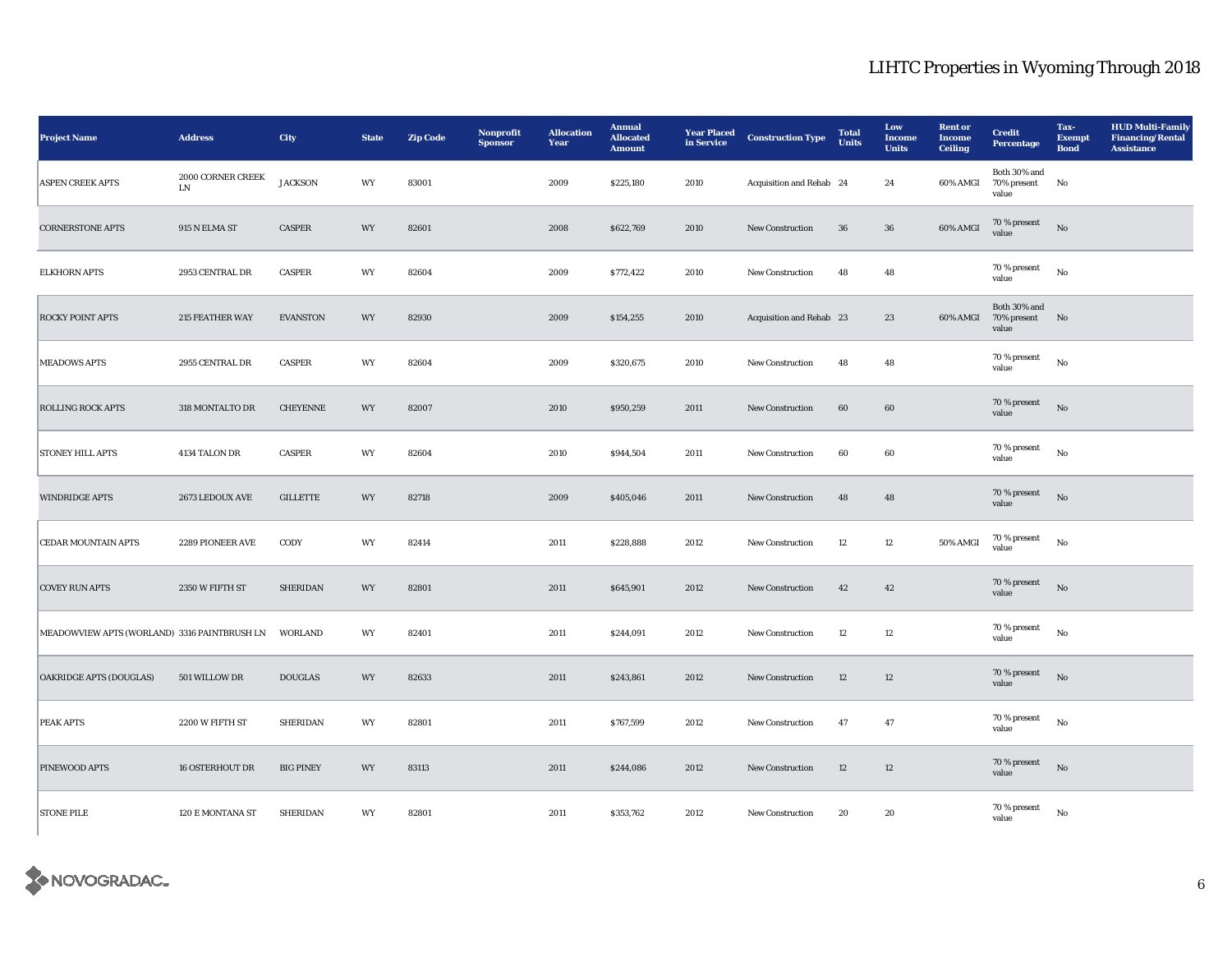| <b>Project Name</b>                          | <b>Address</b>                  | <b>City</b>      | <b>State</b> | <b>Zip Code</b> | Nonprofit<br><b>Sponsor</b> | <b>Allocation</b><br>Year | <b>Annual</b><br><b>Allocated</b><br><b>Amount</b> | <b>Year Placed</b><br>in Service | <b>Construction Type</b> | <b>Total</b><br><b>Units</b> | Low<br><b>Income</b><br><b>Units</b> | <b>Rent</b> or<br><b>Income</b><br><b>Ceiling</b> | <b>Credit</b><br>Percentage          | Tax-<br><b>Exempt</b><br><b>Bond</b> | <b>HUD Multi-Family</b><br><b>Financing/Rental</b><br><b>Assistance</b> |
|----------------------------------------------|---------------------------------|------------------|--------------|-----------------|-----------------------------|---------------------------|----------------------------------------------------|----------------------------------|--------------------------|------------------------------|--------------------------------------|---------------------------------------------------|--------------------------------------|--------------------------------------|-------------------------------------------------------------------------|
| <b>ASPEN CREEK APTS</b>                      | 2000 CORNER CREEK<br>${\rm LN}$ | <b>JACKSON</b>   | WY           | 83001           |                             | 2009                      | \$225,180                                          | 2010                             | Acquisition and Rehab 24 |                              | 24                                   | 60% AMGI                                          | Both 30% and<br>70% present<br>value | No                                   |                                                                         |
| <b>CORNERSTONE APTS</b>                      | 915 N ELMA ST                   | <b>CASPER</b>    | WY           | 82601           |                             | 2008                      | \$622,769                                          | 2010                             | New Construction         | 36                           | ${\bf 36}$                           | 60% AMGI                                          | 70 % present<br>value                | $\rm No$                             |                                                                         |
| <b>ELKHORN APTS</b>                          | 2953 CENTRAL DR                 | <b>CASPER</b>    | WY           | 82604           |                             | 2009                      | \$772,422                                          | 2010                             | New Construction         | 48                           | 48                                   |                                                   | 70 % present<br>value                | $_{\rm No}$                          |                                                                         |
| <b>ROCKY POINT APTS</b>                      | 215 FEATHER WAY                 | <b>EVANSTON</b>  | WY           | 82930           |                             | 2009                      | \$154,255                                          | 2010                             | Acquisition and Rehab 23 |                              | 23                                   | 60% AMGI                                          | Both 30% and<br>70% present<br>value | No                                   |                                                                         |
| <b>MEADOWS APTS</b>                          | 2955 CENTRAL DR                 | <b>CASPER</b>    | WY           | 82604           |                             | 2009                      | \$320,675                                          | 2010                             | New Construction         | 48                           | 48                                   |                                                   | 70 % present<br>value                | $_{\rm No}$                          |                                                                         |
| <b>ROLLING ROCK APTS</b>                     | 318 MONTALTO DR                 | CHEYENNE         | WY           | 82007           |                             | 2010                      | \$950,259                                          | 2011                             | New Construction         | $60\,$                       | $\bf{60}$                            |                                                   | 70 % present<br>value                | $_{\rm No}$                          |                                                                         |
| <b>STONEY HILL APTS</b>                      | 4134 TALON DR                   | <b>CASPER</b>    | WY           | 82604           |                             | 2010                      | \$944,504                                          | 2011                             | New Construction         | 60                           | 60                                   |                                                   | 70 % present<br>value                | $_{\rm No}$                          |                                                                         |
| <b>WINDRIDGE APTS</b>                        | 2673 LEDOUX AVE                 | <b>GILLETTE</b>  | WY           | 82718           |                             | 2009                      | \$405,046                                          | 2011                             | New Construction         | 48                           | 48                                   |                                                   | 70 % present<br>value                | $_{\rm No}$                          |                                                                         |
| <b>CEDAR MOUNTAIN APTS</b>                   | 2289 PIONEER AVE                | CODY             | WY           | 82414           |                             | 2011                      | \$228,888                                          | 2012                             | New Construction         | $12\,$                       | $12\phantom{.0}$                     | 50% AMGI                                          | 70 % present<br>value                | No                                   |                                                                         |
| <b>COVEY RUN APTS</b>                        | 2350 W FIFTH ST                 | SHERIDAN         | WY           | 82801           |                             | 2011                      | \$645,901                                          | 2012                             | New Construction         | 42                           | $42\,$                               |                                                   | 70 % present<br>value                | $_{\rm No}$                          |                                                                         |
| MEADOWVIEW APTS (WORLAND) 3316 PAINTBRUSH LN |                                 | <b>WORLAND</b>   | WY           | 82401           |                             | 2011                      | \$244,091                                          | 2012                             | New Construction         | $12\,$                       | $12\,$                               |                                                   | 70 % present<br>value                | $_{\rm No}$                          |                                                                         |
| <b>OAKRIDGE APTS (DOUGLAS)</b>               | 501 WILLOW DR                   | <b>DOUGLAS</b>   | WY           | 82633           |                             | 2011                      | \$243,861                                          | 2012                             | New Construction         | $12\,$                       | $12\,$                               |                                                   | 70 % present<br>value                | $_{\rm No}$                          |                                                                         |
| <b>PEAK APTS</b>                             | 2200 W FIFTH ST                 | SHERIDAN         | WY           | 82801           |                             | 2011                      | \$767,599                                          | 2012                             | New Construction         | 47                           | 47                                   |                                                   | 70 % present<br>value                | $_{\rm No}$                          |                                                                         |
| PINEWOOD APTS                                | <b>16 OSTERHOUT DR</b>          | <b>BIG PINEY</b> | WY           | 83113           |                             | 2011                      | \$244,086                                          | 2012                             | New Construction         | 12                           | 12                                   |                                                   | 70 % present<br>value                | $\rm No$                             |                                                                         |
| <b>STONE PILE</b>                            | 120 E MONTANA ST                | <b>SHERIDAN</b>  | WY           | 82801           |                             | 2011                      | \$353,762                                          | 2012                             | New Construction         | 20                           | 20                                   |                                                   | 70 % present<br>value                | $_{\rm No}$                          |                                                                         |

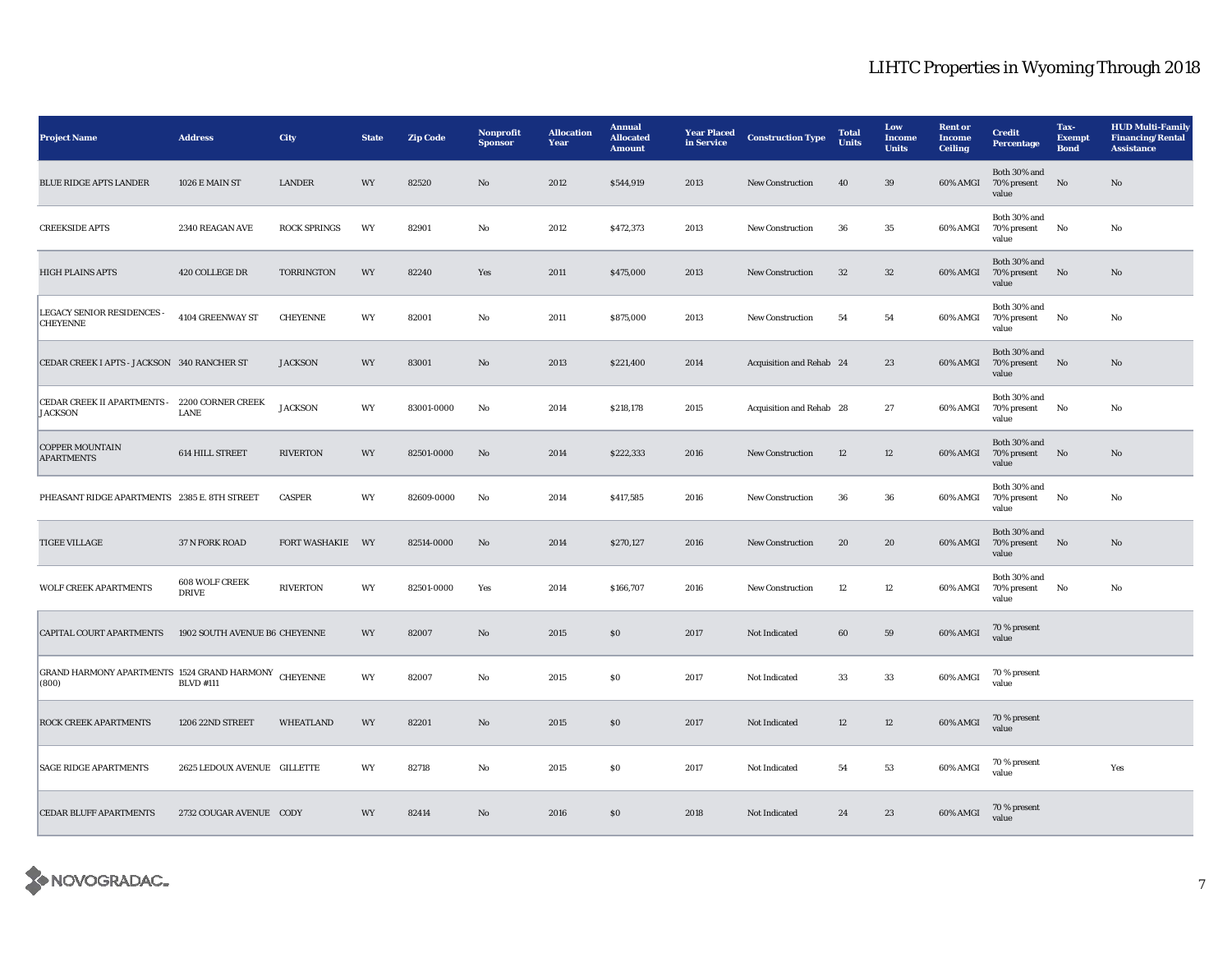| <b>Project Name</b>                                             | <b>Address</b>                 | <b>City</b>         | <b>State</b> | <b>Zip Code</b> | Nonprofit<br><b>Sponsor</b> | <b>Allocation</b><br>Year | Annual<br><b>Allocated</b><br><b>Amount</b> | <b>Year Placed</b><br>in Service | <b>Construction Type</b> | <b>Total</b><br><b>Units</b> | Low<br>Income<br><b>Units</b> | <b>Rent</b> or<br><b>Income</b><br><b>Ceiling</b> | <b>Credit</b><br><b>Percentage</b>      | Tax-<br><b>Exempt</b><br><b>Bond</b> | <b>HUD Multi-Family</b><br><b>Financing/Rental</b><br><b>Assistance</b> |
|-----------------------------------------------------------------|--------------------------------|---------------------|--------------|-----------------|-----------------------------|---------------------------|---------------------------------------------|----------------------------------|--------------------------|------------------------------|-------------------------------|---------------------------------------------------|-----------------------------------------|--------------------------------------|-------------------------------------------------------------------------|
| <b>BLUE RIDGE APTS LANDER</b>                                   | 1026 E MAIN ST                 | <b>LANDER</b>       | WY           | 82520           | No                          | 2012                      | \$544,919                                   | 2013                             | <b>New Construction</b>  | 40                           | 39                            | 60% AMGI                                          | Both 30% and<br>70% present<br>value    | No                                   | No                                                                      |
| <b>CREEKSIDE APTS</b>                                           | 2340 REAGAN AVE                | <b>ROCK SPRINGS</b> | WY           | 82901           | No                          | 2012                      | \$472,373                                   | 2013                             | <b>New Construction</b>  | 36                           | 35                            | 60% AMGI                                          | Both 30% and<br>70% present<br>value    | No                                   | No                                                                      |
| <b>HIGH PLAINS APTS</b>                                         | 420 COLLEGE DR                 | TORRINGTON          | WY           | 82240           | Yes                         | 2011                      | \$475,000                                   | 2013                             | <b>New Construction</b>  | $32\,$                       | $32\,$                        | 60% AMGI                                          | Both 30% and<br>70% present No<br>value |                                      | No                                                                      |
| LEGACY SENIOR RESIDENCES -<br><b>CHEYENNE</b>                   | 4104 GREENWAY ST               | <b>CHEYENNE</b>     | WY           | 82001           | No                          | 2011                      | \$875,000                                   | 2013                             | <b>New Construction</b>  | 54                           | ${\bf 54}$                    | 60% AMGI                                          | Both 30% and<br>70% present<br>value    | No                                   | No                                                                      |
| CEDAR CREEK I APTS - JACKSON 340 RANCHER ST                     |                                | <b>JACKSON</b>      | WY           | 83001           | $\mathbf{No}$               | 2013                      | \$221,400                                   | 2014                             | Acquisition and Rehab 24 |                              | 23                            | <b>60% AMGI</b>                                   | Both 30% and<br>70% present<br>value    | No                                   | No                                                                      |
| CEDAR CREEK II APARTMENTS - 2200 CORNER CREEK<br><b>JACKSON</b> | LANE                           | <b>JACKSON</b>      | WY           | 83001-0000      | No                          | 2014                      | \$218,178                                   | 2015                             | Acquisition and Rehab 28 |                              | 27                            | 60% AMGI                                          | Both 30% and<br>70% present<br>value    | No                                   | No                                                                      |
| <b>COPPER MOUNTAIN</b><br><b>APARTMENTS</b>                     | 614 HILL STREET                | <b>RIVERTON</b>     | WY           | 82501-0000      | No                          | 2014                      | \$222,333                                   | 2016                             | <b>New Construction</b>  | 12                           | $12\,$                        | 60% AMGI                                          | Both 30% and<br>70% present No<br>value |                                      | No                                                                      |
| PHEASANT RIDGE APARTMENTS 2385 E. 8TH STREET                    |                                | <b>CASPER</b>       | WY           | 82609-0000      | No                          | 2014                      | \$417,585                                   | 2016                             | <b>New Construction</b>  | 36                           | 36                            | 60% AMGI                                          | Both 30% and<br>70% present<br>value    | No                                   | No                                                                      |
| <b>TIGEE VILLAGE</b>                                            | 37 N FORK ROAD                 | FORT WASHAKIE WY    |              | 82514-0000      | No                          | 2014                      | \$270,127                                   | 2016                             | <b>New Construction</b>  | 20                           | 20                            | 60% AMGI                                          | Both 30% and<br>70% present<br>value    | No                                   | No                                                                      |
| <b>WOLF CREEK APARTMENTS</b>                                    | 608 WOLF CREEK<br><b>DRIVE</b> | <b>RIVERTON</b>     | WY           | 82501-0000      | Yes                         | 2014                      | \$166,707                                   | 2016                             | <b>New Construction</b>  | $12\,$                       | $12\,$                        | 60% AMGI                                          | Both 30% and<br>70% present No<br>value |                                      | No                                                                      |
| CAPITAL COURT APARTMENTS                                        | 1902 SOUTH AVENUE B6 CHEYENNE  |                     | WY           | 82007           | $\mathbf{No}$               | 2015                      | ${\bf S0}$                                  | 2017                             | Not Indicated            | 60                           | ${\bf 59}$                    | $60\%$ AMGI                                       | 70 % present<br>value                   |                                      |                                                                         |
| GRAND HARMONY APARTMENTS 1524 GRAND HARMONY CHEYENNE<br>(800)   | <b>BLVD #111</b>               |                     | WY           | 82007           | No                          | 2015                      | SO.                                         | 2017                             | Not Indicated            | 33                           | 33                            | 60% AMGI                                          | 70 % present<br>value                   |                                      |                                                                         |
| <b>ROCK CREEK APARTMENTS</b>                                    | 1206 22ND STREET               | <b>WHEATLAND</b>    | WY           | 82201           | No                          | 2015                      | \$0                                         | 2017                             | Not Indicated            | 12                           | 12                            | 60% AMGI                                          | 70 % present<br>value                   |                                      |                                                                         |
| <b>SAGE RIDGE APARTMENTS</b>                                    | 2625 LEDOUX AVENUE GILLETTE    |                     | WY           | 82718           | No                          | 2015                      | \$0\$                                       | 2017                             | Not Indicated            | 54                           | 53                            | 60% AMGI                                          | 70 % present<br>value                   |                                      | Yes                                                                     |
| <b>CEDAR BLUFF APARTMENTS</b>                                   | 2732 COUGAR AVENUE CODY        |                     | WY           | 82414           | No                          | 2016                      | \$0                                         | 2018                             | Not Indicated            | 24                           | 23                            | 60% AMGI                                          | 70 % present<br>value                   |                                      |                                                                         |